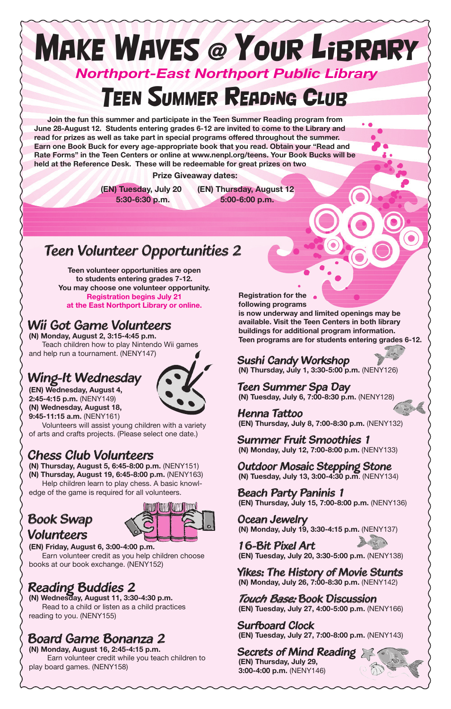# Make WAves @ Your Library *Northport-East Northport Public Library* **TEEN SUMMER READING CLUB**

**Join the fun this summer and participate in the Teen Summer Reading program from June 28-August 12. Students entering grades 6-12 are invited to come to the Library and read for prizes as well as take part in special programs offered throughout the summer. Earn one Book Buck for every age-appropriate book that you read. Obtain your "Read and Rate Forms" in the Teen Centers or online at www.nenpl.org/teens. Your Book Bucks will be held at the Reference Desk. These will be redeemable for great prizes on two** 

 **Prize Giveaway dates:**

 **(EN) Tuesday, July 20 (EN) Thursday, August 12 5:30-6:30 p.m. 5:00-6:00 p.m.**

#### *Teen Volunteer Opportunities 2*

**Teen volunteer opportunities are open to students entering grades 7-12. You may choose one volunteer opportunity. Registration begins July 21 at the East Northport Library or online.**

#### *Wii Got Game Volunteers*

**(N) Monday, August 2, 3:15-4:45 p.m.** Teach children how to play Nintendo Wii games and help run a tournament. (NENY147)

#### *Wing-It Wednesday*



**(EN) Wednesday, August 4, 2:45-4:15 p.m.** (NENY149) **(N) Wednesday, August 18, 9:45-11:15 a.m.** (NENY161)



Volunteers will assist young children with a variety of arts and crafts projects. (Please select one date.)

#### *Chess Club Volunteers*

**(N) Thursday, August 5, 6:45-8:00 p.m.** (NENY151) **(N) Thursday, August 19, 6:45-8:00 p.m.** (NENY163) Help children learn to play chess. A basic knowledge of the game is required for all volunteers.

#### *Book Swap Volunteers*



**(EN) Friday, August 6, 3:00-4:00 p.m.** Earn volunteer credit as you help children choose books at our book exchange. (NENY152)

#### *Reading Buddies 2*

**(N) Wednesday, August 11, 3:30-4:30 p.m.**  Read to a child or listen as a child practices reading to you. (NENY155)

## *Board Game Bonanza 2*

**(N) Monday, August 16, 2:45-4:15 p.m.** Earn volunteer credit while you teach children to play board games. (NENY158)

**Registration for the following programs is now underway and limited openings may be available. Visit the Teen Centers in both library buildings for additional program information. Teen programs are for students entering grades 6-12.**

#### *Sushi Candy Workshop*

**(N) Thursday, July 1, 3:30-5:00 p.m.** (NENY126)

*Teen Summer Spa Day* **(N) Tuesday, July 6, 7:00-8:30 p.m.** (NENY128)

*Henna Tattoo* **(EN) Thursday, July 8, 7:00-8:30 p.m.** (NENY132)

*Summer Fruit Smoothies 1* **(N) Monday, July 12, 7:00-8:00 p.m.** (NENY133)

*Outdoor Mosaic Stepping Stone* **(N) Tuesday, July 13, 3:00-4:30 p.m**. (NENY134)

*Beach Party Paninis 1* **(EN) Thursday, July 15, 7:00-8:00 p.m.** (NENY136)

*Ocean Jewelry* **(N) Monday, July 19, 3:30-4:15 p.m.** (NENY137)

*16-Bit Pixel Art* **(EN) Tuesday, July 20, 3:30-5:00 p.m.** (NENY138)

*Yikes: The History of Movie Stunts* **(N) Monday, July 26, 7:00-8:30 p.m.** (NENY142)

*Touch Base: Book Discussion* **(EN) Tuesday, July 27, 4:00-5:00 p.m.** (NENY166)

*Surfboard Clock* **(EN) Tuesday, July 27, 7:00-8:00 p.m.** (NENY143)

*Secrets of Mind Reading* **(EN) Thursday, July 29, 3:00-4:00 p.m.** (NENY146)